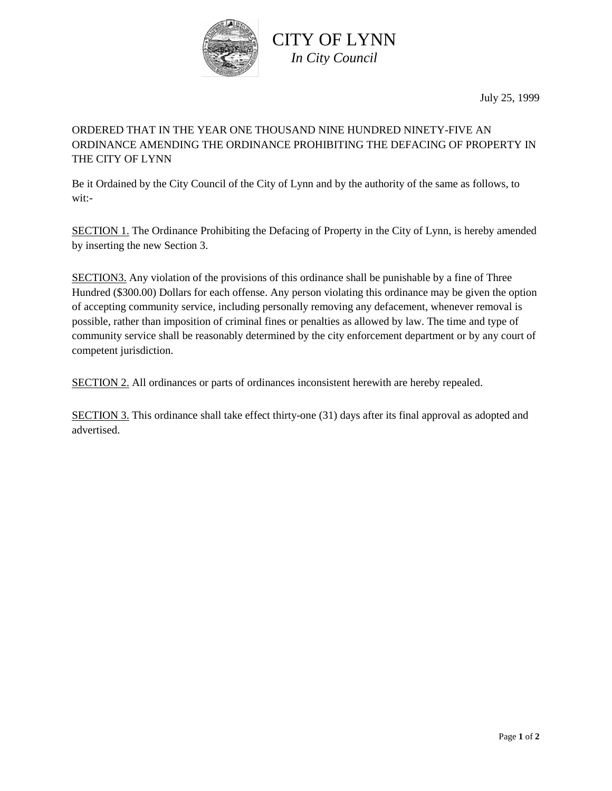

CITY OF LYNN *In City Council*

July 25, 1999

## ORDERED THAT IN THE YEAR ONE THOUSAND NINE HUNDRED NINETY-FIVE AN ORDINANCE AMENDING THE ORDINANCE PROHIBITING THE DEFACING OF PROPERTY IN THE CITY OF LYNN

Be it Ordained by the City Council of the City of Lynn and by the authority of the same as follows, to wit:-

SECTION 1. The Ordinance Prohibiting the Defacing of Property in the City of Lynn, is hereby amended by inserting the new Section 3.

SECTION3. Any violation of the provisions of this ordinance shall be punishable by a fine of Three Hundred (\$300.00) Dollars for each offense. Any person violating this ordinance may be given the option of accepting community service, including personally removing any defacement, whenever removal is possible, rather than imposition of criminal fines or penalties as allowed by law. The time and type of community service shall be reasonably determined by the city enforcement department or by any court of competent jurisdiction.

SECTION 2. All ordinances or parts of ordinances inconsistent herewith are hereby repealed.

SECTION 3. This ordinance shall take effect thirty-one (31) days after its final approval as adopted and advertised.